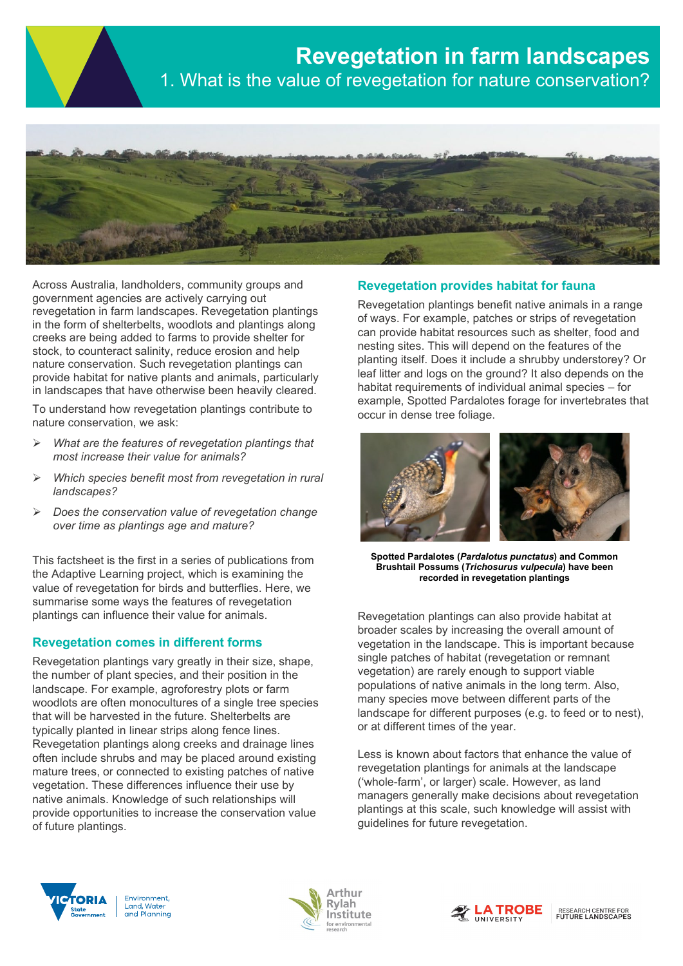



Across Australia, landholders, community groups and government agencies are actively carrying out revegetation in farm landscapes. Revegetation plantings in the form of shelterbelts, woodlots and plantings along creeks are being added to farms to provide shelter for stock, to counteract salinity, reduce erosion and help nature conservation. Such revegetation plantings can provide habitat for native plants and animals, particularly in landscapes that have otherwise been heavily cleared.

To understand how revegetation plantings contribute to nature conservation, we ask:

- *What are the features of revegetation plantings that most increase their value for animals?*
- *Which species benefit most from revegetation in rural landscapes?*
- *Does the conservation value of revegetation change over time as plantings age and mature?*

This factsheet is the first in a series of publications from the Adaptive Learning project, which is examining the value of revegetation for birds and butterflies. Here, we summarise some ways the features of revegetation plantings can influence their value for animals.

# **Revegetation comes in different forms**

Revegetation plantings vary greatly in their size, shape, the number of plant species, and their position in the landscape. For example, agroforestry plots or farm woodlots are often monocultures of a single tree species that will be harvested in the future. Shelterbelts are typically planted in linear strips along fence lines. Revegetation plantings along creeks and drainage lines often include shrubs and may be placed around existing mature trees, or connected to existing patches of native vegetation. These differences influence their use by native animals. Knowledge of such relationships will provide opportunities to increase the conservation value of future plantings.

## **Revegetation provides habitat for fauna**

Revegetation plantings benefit native animals in a range of ways. For example, patches or strips of revegetation can provide habitat resources such as shelter, food and nesting sites. This will depend on the features of the planting itself. Does it include a shrubby understorey? Or leaf litter and logs on the ground? It also depends on the habitat requirements of individual animal species – for example, Spotted Pardalotes forage for invertebrates that occur in dense tree foliage.



**Spotted Pardalotes (***[Pardalotus punctatus](http://www.birdsinbackyards.net/Passeriformes/Pardalotidae/Pardalotus/Pardalotus-punctatus)***) and Common Brushtail Possums (***Trichosurus vulpecula***) have been recorded in revegetation plantings**

Revegetation plantings can also provide habitat at broader scales by increasing the overall amount of vegetation in the landscape. This is important because single patches of habitat (revegetation or remnant vegetation) are rarely enough to support viable populations of native animals in the long term. Also, many species move between different parts of the landscape for different purposes (e.g. to feed or to nest), or at different times of the year.

Less is known about factors that enhance the value of revegetation plantings for animals at the landscape ('whole-farm', or larger) scale. However, as land managers generally make decisions about revegetation plantings at this scale, such knowledge will assist with guidelines for future revegetation.